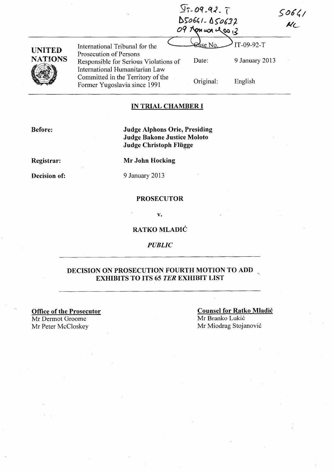|                                 |                                                                                                                                     | $97 - 09 - 92 - 7$<br>$DSo641 - 150632$<br>09 Non wor class 13 |                              | 5064/<br>$\mu_{C}$ |
|---------------------------------|-------------------------------------------------------------------------------------------------------------------------------------|----------------------------------------------------------------|------------------------------|--------------------|
| <b>UNITED</b><br><b>NATIONS</b> | International Tribunal for the<br>Prosecution of Persons<br>Responsible for Serious Violations of<br>International Humanitarian Law | Cáse No.<br>Date:                                              | IT-09-92-T<br>9 January 2013 |                    |
|                                 | Committed in the Territory of the<br>Former Yugoslavia since 1991                                                                   | Original:                                                      | English                      |                    |

#### IN TRIAL CHAMBER I

Before:

Judge Alphons Orie, Presiding Judge Bakone Justice Moloto Judge Christoph Flügge

Registrar:

Mr John Hocking

Decision of:

9 January 2013

#### PROSECUTOR

V.

#### RATKO MLADIĆ

*PUBLIC* 

#### DECISION ON PROSECUTION FOURTH MOTION TO ADD EXHIBITS TO ITS 65 *TER* EXHIBIT LIST

Office of the Prosecutor

Mr Dermot Groome<br>Mr Peter McCloskey

Counsel for Ratko Mladić Mr Branko Lukić Mr Miodrag Stojanović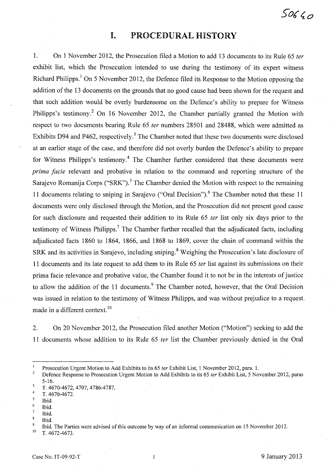## **I.** PROCEDURAL HISTORY

1. On 1 November 2012, the Prosecution filed a Motion to add 13 documents to its Rule 65 *ter*  exhibit list, which the Prosecution intended to use during the testimony of its expert witness Richard Philipps.<sup>1</sup> On 5 November 2012, the Defence filed its Response to the Motion opposing the addition of the 13 documents on the grounds that no good cause had been shown for the request and that such addition would be overly burdensome on the Defence's ability to prepare for Witness Philipps's testimony.<sup>2</sup> On 16 November 2012, the Chamber partially granted the Motion with respect to two documents bearing Rule 65 *ter* numbers 28501 and 28488, which were admitted as Exhibits D94 and P462, respectively.<sup>3</sup> The Chamber noted that these two documents were disclosed at an earlier stage of the case, and therefore did not overly burden the Defence's ability to prepare for Witness Philipps's testimony.<sup>4</sup> The Chamber further considered that these documents were *prima facie* relevant and probative in relation to the command and reporting structure of the Sarajevo Romanija Corps ("SRK").<sup>5</sup> The Chamber denied the Motion with respect to the remaining 11 documents relating to sniping in Sarajevo ("Oral Decision").<sup>6</sup> The Chamber noted that these 11 documents were only disclosed through the Motion, and the Prosecution did not present good cause for such disclosure and requested their addition to its Rule 65 *ter* list only six days prior to the testimony of Witness Philipps.7 The Chamber further recalled that the adjudicated facts, including adjudicated facts 1860 to 1864, 1866, and 1868 to 1869, cover the chain of command within the SRK and its activities in Sarajevo, including sniping. 8 Weighing the Prosecution's late disclosure of 11 documents and its late request to add them to its Rule 65 *ter* list against its submissions on their prima facie relevance and probative value, the Chamber found it to not be in the interests of justice to allow the addition of the 11 documents.<sup>9</sup> The Chamber noted, however, that the Oral Decision was issued in relation to the testimony of Witness Philipps, and was without prejudice to a request. made in a different context. $^{10}$ 

2. On 20 November 2012, the Prosecution filed another Motion ("Motion") seeking to add the 11 documents whose addition to its Rule 65 *ter* list the Chamber previously denied in the Oral

T. 4672-4673.

 $\mathbf{1}$ Prosecution Urgent Motion to Add Exhibits to its 65 *ter* Exhibit List, l November 2012, para. l.

<sup>2</sup>  Defence Response to Prosecution Urgent Motion to Add Exhibits to its 65 *ter* Exhibit List, 5 November 2012, paras 5-16.

T. 4670-4672, 4707, 4786-4787 ..

<sup>4</sup>  T. 4670-4672.

<sup>6</sup>  Ibid.

Ibid.

Ibid. 8

Ibid.

<sup>&</sup>lt;sup>9</sup> Ibid. The Parties were advised of this outcome by way of an informal communication on 15 November 2012.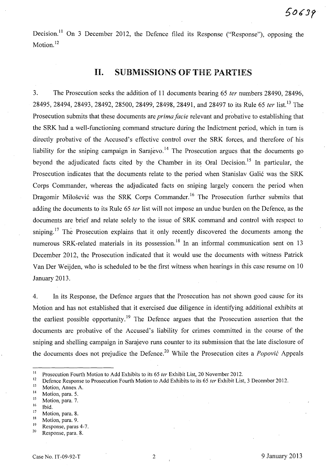Decision.<sup>11</sup> On 3 December 2012, the Defence filed its Response ("Response"), opposing the Motion.<sup>12</sup>

# **II.** SUBMISSIONS OF THE **PARTIES**

3. The Prosecution seeks the addition of 11 documents bearing 65 *ter* numbers 28490, 28496, 28495, 28494, 28493, 28492, 28500, 28499, 28498, 28491, and 28497 to its Rule 65 *ter* list. 13 The Prosecution submits that these documents are *prima facie* relevant and probative to establishing that the SRK had a well-functioning command structure during the Indictment period, which in tum is directly probative of the Accused's effective control over the SRK forces, and therefore of his liability for the sniping campaign in Sarajevo.<sup>14</sup> The Prosecution argues that the documents go beyond the adjudicated facts cited by the Chamber in its Oral Decision.<sup>15</sup> In particular, the Prosecution indicates that the documents relate to the period when Stanislav Galić was the SRK Corps Commander, whereas the adjudicated facts on sniping largely concern the period when Dragomir Milošević was the SRK Corps Commander.<sup>16</sup> The Prosecution further submits that adding the documents to its Rule 65 *ter* list will not impose an undue burden on the Defence, as the documents are brief and relate solely to the issue of SRK command and control with respect to sniping.<sup>17</sup> The Prosecution explains that it only recently discovered the documents among the numerous SRK-related materials in its possession.<sup>18</sup> In an informal communication sent on 13 December 2012, the Prosecution indicated that it would use the documents with witness Patrick Van Der Weijden, who is scheduled to be the first witness when hearings in this case resume on 10 January 2013.

4. In its Response, the Defence argues that the Prosecution has not shown good cause for its Motion and has not established that it exercised due diligence in identifying additional exhibits at the earliest possible opportunity.<sup>19</sup> The Defence argues that the Prosecution assertion that the documents are probative of the Accused's liability for crimes committed in the course of the sniping and shelling campaign in Sarajevo runs counter to its submission that the late disclosure of the documents does not prejudice the Defence.<sup>20</sup> While the Prosecution cites a *Popović* Appeals

 $\frac{14}{15}$  Motion, para. 5.

 $\frac{16}{17}$  Ibid.

- $\frac{18}{19}$  Motion, para. 9.
- $19$  Response, paras 4-7.

II Prosecution Fourth Motion to Add Exhibits to its 65 *ter* Exhibit List, 20 November 2012.

<sup>&</sup>lt;sup>12</sup> Defence Response to Prosecution Fourth Motion to Add Exhibits to its 65 *ter* Exhibit List, 3 December 2012.

 $^{13}$  Motion, Annex A.

 $\frac{15}{16}$  Motion, para. 7.

 $\frac{17}{18}$  Motion, para. 8.

Response, para. 8.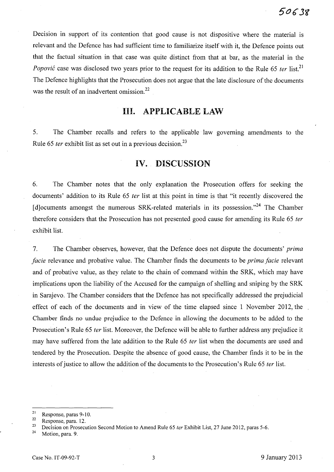Decision in support of its contention that good cause is not dispositive where the material is relevant and the Defence has had sufficient time to familiarize itself with it, the Defence points out that the factual situation in that case was quite distinct from that at bar, as the material in the Popović case was disclosed two years prior to the request for its addition to the Rule 65 *ter* list.<sup>21</sup> The Defence highlights that the Prosecution does not argue that the late disclosure of the documents was the result of an inadvertent omission.<sup>22</sup>

### **III. APPLICABLE LAW**

5. The Chamber recalls and refers to the applicable law governing amendments to the Rule 65 *ter* exhibit list as set out in a previous decision.<sup>23</sup>

## **IV.** DISCUSSION

6. The Chamber notes that the only explanation the Prosecution offers for seeking the documents' addition to its Rule 65 *ter* list at this point in time is that "it recently discovered the  $[d]$ ocuments amongst the numerous SRK-related materials in its possession.<sup>324</sup> The Chamber therefore considers that the Prosecution has not presented good cause for amending its Rule 65 *ter*  exhibit list.

7. The Chamber observes, however, that the Defence does not dispute the documents' *prima facie* relevance and probative value. The Chamber finds the documents to be *prima facie* relevant and of probative value, as they relate to the chain of command within the SRK, which may have implications upon the liability of the Accused for the campaign of shelling and sniping by the SRK in Sarajevo. The Chamber considers that the Defence has not specifically addressed the prejudicial effect of each of the documents and in view of the time elapsed since 1 November 2012, the Chamber finds no undue prejudice to the Defence in allowing the docuinents to be added to the Prosecution's Rule 65 *ter* list. Moreover, the Defence will be able to further address any prejudice it may have suffered from the late addition to the Rule 65 *ter* list when the documents are used and tendered by the Prosecution. Despite the absence of good cause, the Chamber finds it to be in the interests of justice to allow the addition of the documents to the Prosecution's Rule 65 *ter* list.

 $\frac{21}{22}$  Response, paras 9-10.

 $\frac{22}{23}$  Response, para. 12.

<sup>&</sup>lt;sup>23</sup> Decision on Prosecution Second Motion to Amend Rule 65 *ter* Exhibit List, 27 June 2012, paras 5-6.

Motion, para. 9.